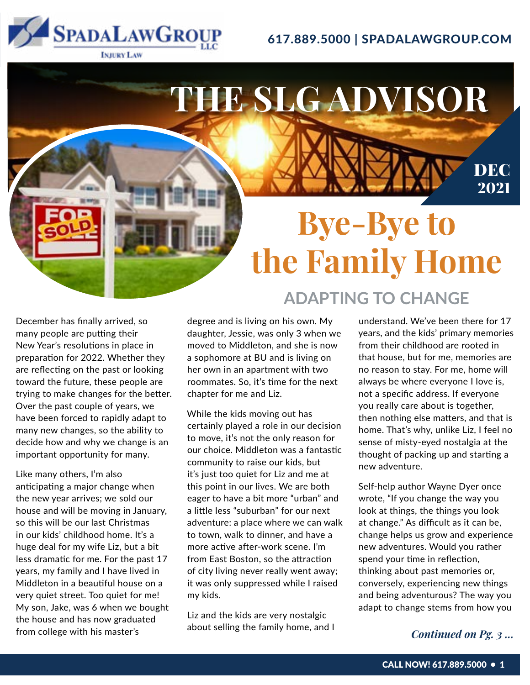

### 617.889.5000 | SPADALAWGROUP.COM



December has finally arrived, so many people are putting their New Year's resolutions in place in preparation for 2022. Whether they are reflecting on the past or looking toward the future, these people are trying to make changes for the better. Over the past couple of years, we have been forced to rapidly adapt to many new changes, so the ability to decide how and why we change is an important opportunity for many.

Like many others, I'm also anticipating a major change when the new year arrives; we sold our house and will be moving in January, so this will be our last Christmas in our kids' childhood home. It's a huge deal for my wife Liz, but a bit less dramatic for me. For the past 17 years, my family and I have lived in Middleton in a beautiful house on a very quiet street. Too quiet for me! My son, Jake, was 6 when we bought the house and has now graduated from college with his master's

degree and is living on his own. My daughter, Jessie, was only 3 when we moved to Middleton, and she is now a sophomore at BU and is living on her own in an apartment with two roommates. So, it's time for the next chapter for me and Liz.

While the kids moving out has certainly played a role in our decision to move, it's not the only reason for our choice. Middleton was a fantastic community to raise our kids, but it's just too quiet for Liz and me at this point in our lives. We are both eager to have a bit more "urban" and a little less "suburban" for our next adventure: a place where we can walk to town, walk to dinner, and have a more active after-work scene. I'm from East Boston, so the attraction of city living never really went away; it was only suppressed while I raised my kids.

Liz and the kids are very nostalgic about selling the family home, and I

understand. We've been there for 17 years, and the kids' primary memories from their childhood are rooted in that house, but for me, memories are no reason to stay. For me, home will always be where everyone I love is, not a specific address. If everyone you really care about is together, then nothing else matters, and that is home. That's why, unlike Liz, I feel no sense of misty-eyed nostalgia at the thought of packing up and starting a new adventure.

Self-help author Wayne Dyer once wrote, "If you change the way you look at things, the things you look at change." As difficult as it can be, change helps us grow and experience new adventures. Would you rather spend your time in reflection, thinking about past memories or, conversely, experiencing new things and being adventurous? The way you adapt to change stems from how you

*Continued on Pg. 3 ...*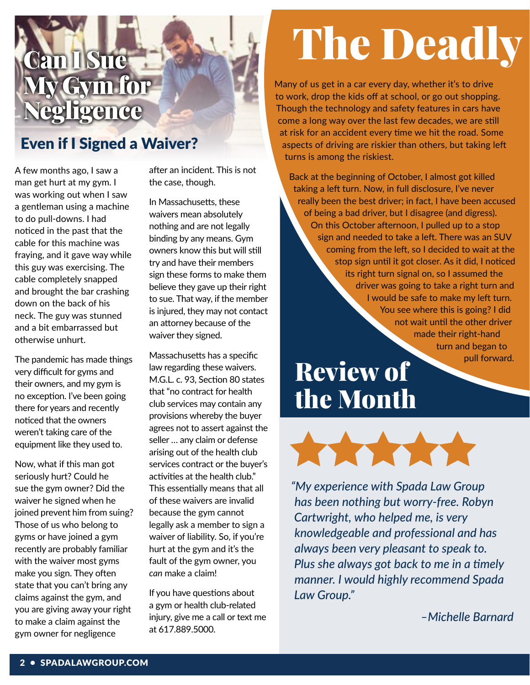## Can I Sue **y Gym for** egligence

### Even if I Signed a Waiver?

A few months ago, I saw a man get hurt at my gym. I was working out when I saw a gentleman using a machine to do pull-downs. I had noticed in the past that the cable for this machine was fraying, and it gave way while this guy was exercising. The cable completely snapped and brought the bar crashing down on the back of his neck. The guy was stunned and a bit embarrassed but otherwise unhurt.

The pandemic has made things very difficult for gyms and their owners, and my gym is no exception. I've been going there for years and recently noticed that the owners weren't taking care of the equipment like they used to.

Now, what if this man got seriously hurt? Could he sue the gym owner? Did the waiver he signed when he joined prevent him from suing? Those of us who belong to gyms or have joined a gym recently are probably familiar with the waiver most gyms make you sign. They often state that you can't bring any claims against the gym, and you are giving away your right to make a claim against the gym owner for negligence

after an incident. This is not the case, though.

In Massachusetts, these waivers mean absolutely nothing and are not legally binding by any means. Gym owners know this but will still try and have their members sign these forms to make them believe they gave up their right to sue. That way, if the member is injured, they may not contact an attorney because of the waiver they signed.

Massachusetts has a specific law regarding these waivers. M.G.L. c. 93, Section 80 states that "no contract for health club services may contain any provisions whereby the buyer agrees not to assert against the seller … any claim or defense arising out of the health club services contract or the buyer's activities at the health club." This essentially means that all of these waivers are invalid because the gym cannot legally ask a member to sign a waiver of liability. So, if you're hurt at the gym and it's the fault of the gym owner, you *can* make a claim!

If you have questions about a gym or health club-related injury, give me a call or text me at 617.889.5000.

# The Deadly

Many of us get in a car every day, whether it's to drive to work, drop the kids off at school, or go out shopping. Though the technology and safety features in cars have come a long way over the last few decades, we are still at risk for an accident every time we hit the road. Some aspects of driving are riskier than others, but taking left turns is among the riskiest.

Back at the beginning of October, I almost got killed taking a left turn. Now, in full disclosure, I've never really been the best driver; in fact, I have been accused of being a bad driver, but I disagree (and digress). On this October afternoon, I pulled up to a stop sign and needed to take a left. There was an SUV coming from the left, so I decided to wait at the stop sign until it got closer. As it did, I noticed its right turn signal on, so I assumed the driver was going to take a right turn and I would be safe to make my left turn. You see where this is going? I did not wait until the other driver made their right-hand turn and began to pull forward.

## Review of the Month



*"My experience with Spada Law Group has been nothing but worry-free. Robyn Cartwright, who helped me, is very knowledgeable and professional and has always been very pleasant to speak to. Plus she always got back to me in a timely manner. I would highly recommend Spada Law Group."*

*–Michelle Barnard*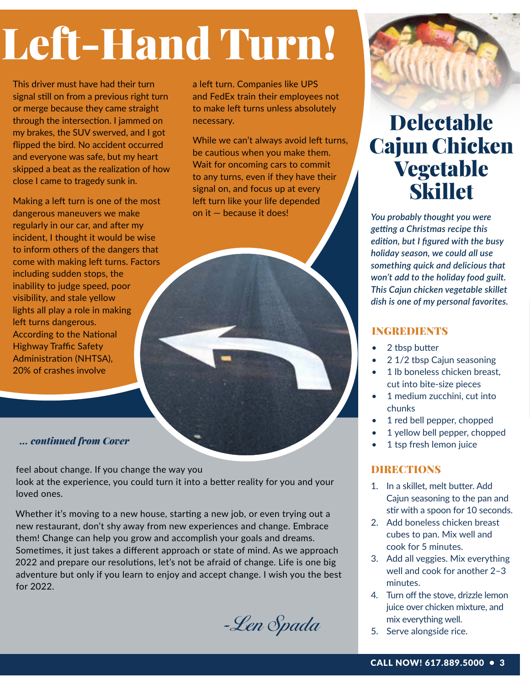# Left-Hand Turn!

This driver must have had their turn signal still on from a previous right turn or merge because they came straight through the intersection. I jammed on my brakes, the SUV swerved, and I got flipped the bird. No accident occurred and everyone was safe, but my heart skipped a beat as the realization of how close I came to tragedy sunk in.

Making a left turn is one of the most dangerous maneuvers we make regularly in our car, and after my incident, I thought it would be wise to inform others of the dangers that come with making left turns. Factors including sudden stops, the inability to judge speed, poor visibility, and stale yellow lights all play a role in making left turns dangerous. According to the National Highway Traffic Safety Administration (NHTSA), 20% of crashes involve

a left turn. Companies like UPS and FedEx train their employees not to make left turns unless absolutely necessary.

While we can't always avoid left turns, be cautious when you make them. Wait for oncoming cars to commit to any turns, even if they have their signal on, and focus up at every left turn like your life depended on it — because it does!



feel about change. If you change the way you look at the experience, you could turn it into a better reality for you and your loved ones.

Whether it's moving to a new house, starting a new job, or even trying out a new restaurant, don't shy away from new experiences and change. Embrace them! Change can help you grow and accomplish your goals and dreams. Sometimes, it just takes a different approach or state of mind. As we approach 2022 and prepare our resolutions, let's not be afraid of change. Life is one big adventure but only if you learn to enjoy and accept change. I wish you the best for 2022.

-Len Spada



## Delectable Cajun Chicken Vegetable **Skillet**

*You probably thought you were getting a Christmas recipe this edition, but I figured with the busy holiday season, we could all use something quick and delicious that won't add to the holiday food guilt. This Cajun chicken vegetable skillet dish is one of my personal favorites.* 

### INGREDIENTS

- 2 tbsp butter
- 2 1/2 tbsp Cajun seasoning
- 1 lb boneless chicken breast, cut into bite-size pieces
- 1 medium zucchini, cut into chunks
- 1 red bell pepper, chopped
- 1 yellow bell pepper, chopped
- 1 tsp fresh lemon juice

### **DIRECTIONS**

- 1. In a skillet, melt butter. Add Cajun seasoning to the pan and stir with a spoon for 10 seconds.
- 2. Add boneless chicken breast cubes to pan. Mix well and cook for 5 minutes.
- 3. Add all veggies. Mix everything well and cook for another 2–3 minutes.
- 4. Turn off the stove, drizzle lemon juice over chicken mixture, and mix everything well.
- 5. Serve alongside rice.